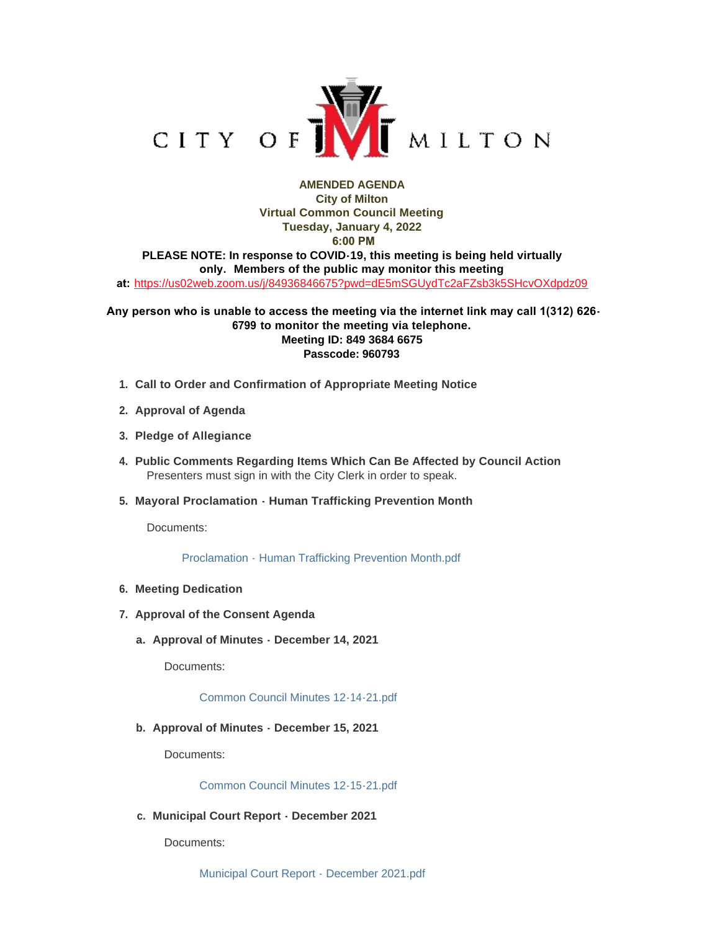

## **AMENDED AGENDA City of Milton Virtual Common Council Meeting Tuesday, January 4, 2022 6:00 PM PLEASE NOTE: In response to COVID-19, this meeting is being held virtually only. Members of the public may monitor this meeting at:** <https://us02web.zoom.us/j/84936846675?pwd=dE5mSGUydTc2aFZsb3k5SHcvOXdpdz09>

## **Any person who is unable to access the meeting via the internet link may call 1(312) 626- 6799 to monitor the meeting via telephone. Meeting ID: 849 3684 6675 Passcode: 960793**

- **Call to Order and Confirmation of Appropriate Meeting Notice 1.**
- **Approval of Agenda 2.**
- **Pledge of Allegiance 3.**
- **Public Comments Regarding Items Which Can Be Affected by Council Action 4.** Presenters must sign in with the City Clerk in order to speak.
- **Mayoral Proclamation Human Trafficking Prevention Month 5.**

Documents:

[Proclamation - Human Trafficking Prevention Month.pdf](https://www.milton-wi.gov/AgendaCenter/ViewFile/Item/9364?fileID=7172)

- **Meeting Dedication 6.**
- **Approval of the Consent Agenda 7.**
	- **Approval of Minutes December 14, 2021 a.**

Documents:

[Common Council Minutes 12-14-21.pdf](https://www.milton-wi.gov/AgendaCenter/ViewFile/Item/9339?fileID=7147)

**Approval of Minutes - December 15, 2021 b.**

Documents:

[Common Council Minutes 12-15-21.pdf](https://www.milton-wi.gov/AgendaCenter/ViewFile/Item/9340?fileID=7146)

**Municipal Court Report - December 2021 c.**

Documents: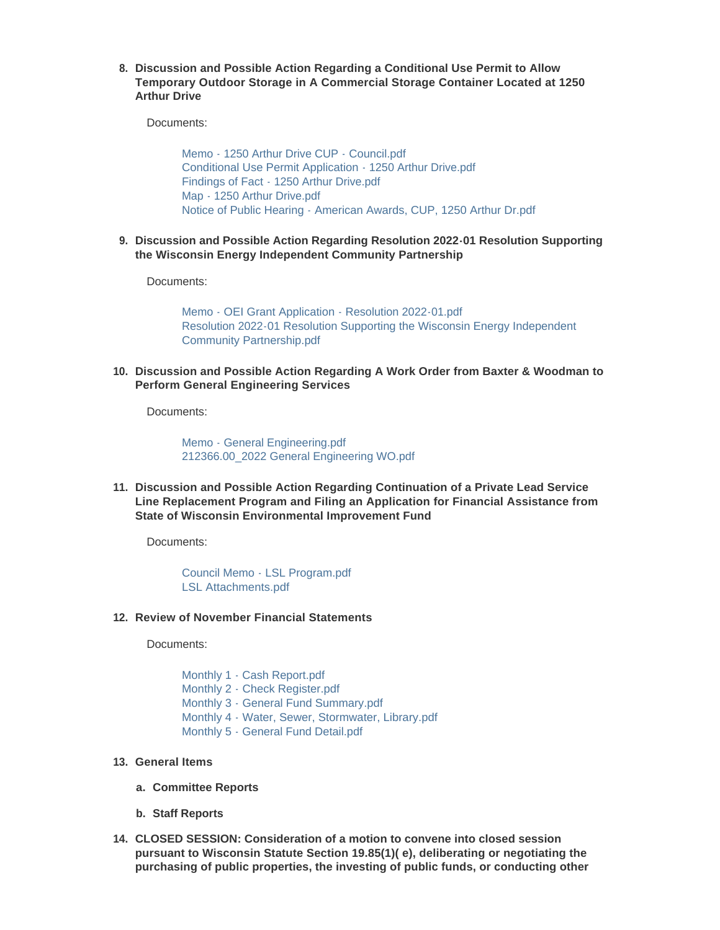**Discussion and Possible Action Regarding a Conditional Use Permit to Allow 8. Temporary Outdoor Storage in A Commercial Storage Container Located at 1250 Arthur Drive**

Documents:

[Memo - 1250 Arthur Drive CUP - Council.pdf](https://www.milton-wi.gov/AgendaCenter/ViewFile/Item/9363?fileID=7168) [Conditional Use Permit Application - 1250 Arthur Drive.pdf](https://www.milton-wi.gov/AgendaCenter/ViewFile/Item/9363?fileID=7163) [Findings of Fact - 1250 Arthur Drive.pdf](https://www.milton-wi.gov/AgendaCenter/ViewFile/Item/9363?fileID=7164) [Map - 1250 Arthur Drive.pdf](https://www.milton-wi.gov/AgendaCenter/ViewFile/Item/9363?fileID=7166) [Notice of Public Hearing - American Awards, CUP, 1250 Arthur Dr.pdf](https://www.milton-wi.gov/AgendaCenter/ViewFile/Item/9363?fileID=7167)

**Discussion and Possible Action Regarding Resolution 2022-01 Resolution Supporting 9. the Wisconsin Energy Independent Community Partnership**

Documents:

[Memo - OEI Grant Application - Resolution 2022-01.pdf](https://www.milton-wi.gov/AgendaCenter/ViewFile/Item/9362?fileID=7170) [Resolution 2022-01 Resolution Supporting the Wisconsin Energy Independent](https://www.milton-wi.gov/AgendaCenter/ViewFile/Item/9362?fileID=7162)  Community Partnership.pdf

**Discussion and Possible Action Regarding A Work Order from Baxter & Woodman to 10. Perform General Engineering Services**

Documents:

[Memo - General Engineering.pdf](https://www.milton-wi.gov/AgendaCenter/ViewFile/Item/9337?fileID=7142) [212366.00\\_2022 General Engineering WO.pdf](https://www.milton-wi.gov/AgendaCenter/ViewFile/Item/9337?fileID=7143)

**Discussion and Possible Action Regarding Continuation of a Private Lead Service 11. Line Replacement Program and Filing an Application for Financial Assistance from State of Wisconsin Environmental Improvement Fund**

Documents:

[Council Memo - LSL Program.pdf](https://www.milton-wi.gov/AgendaCenter/ViewFile/Item/9338?fileID=7144) [LSL Attachments.pdf](https://www.milton-wi.gov/AgendaCenter/ViewFile/Item/9338?fileID=7145)

#### **Review of November Financial Statements 12.**

Documents:

[Monthly 1 - Cash Report.pdf](https://www.milton-wi.gov/AgendaCenter/ViewFile/Item/9341?fileID=7157) [Monthly 2 - Check Register.pdf](https://www.milton-wi.gov/AgendaCenter/ViewFile/Item/9341?fileID=7158) [Monthly 3 - General Fund Summary.pdf](https://www.milton-wi.gov/AgendaCenter/ViewFile/Item/9341?fileID=7159) [Monthly 4 - Water, Sewer, Stormwater, Library.pdf](https://www.milton-wi.gov/AgendaCenter/ViewFile/Item/9341?fileID=7160) [Monthly 5 - General Fund Detail.pdf](https://www.milton-wi.gov/AgendaCenter/ViewFile/Item/9341?fileID=7161)

### **General Items 13.**

- **Committee Reports a.**
- **Staff Reports b.**
- **CLOSED SESSION: Consideration of a motion to convene into closed session 14. pursuant to Wisconsin Statute Section 19.85(1)( e), deliberating or negotiating the purchasing of public properties, the investing of public funds, or conducting other**